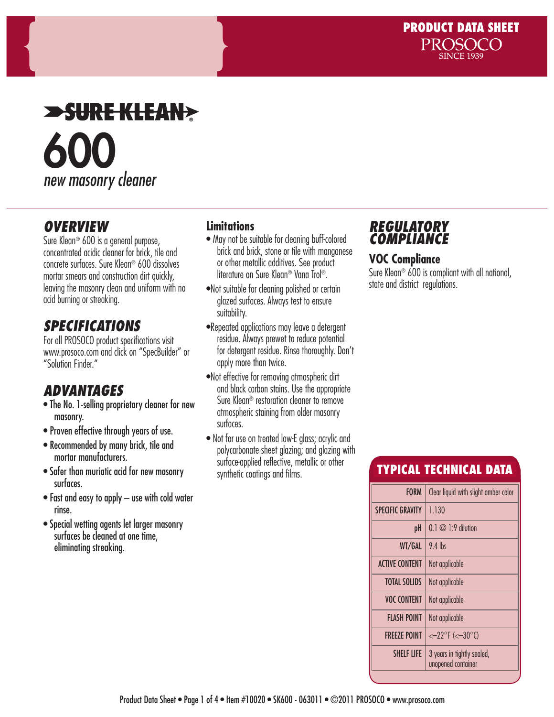# **SUREKLEAN>** 600 *new masonry cleaner*

### *OVERVIEW*

Sure Klean® 600 is a general purpose, concentrated acidic cleaner for brick, tile and concrete surfaces. Sure Klean® 600 dissolves mortar smears and construction dirt quickly, leaving the masonry clean and uniform with no acid burning or streaking.

# *SPECIFICATIONS*

For all PROSOCO product specifications visit www.prosoco.com and click on "SpecBuilder" or "Solution Finder."

# *ADVANTAGES*

- The No. 1-selling proprietary cleaner for new masonry.
- Proven effective through years of use.
- Recommended by many brick, tile and mortar manufacturers.
- Safer than muriatic acid for new masonry surfaces.
- Fast and easy to apply use with cold water rinse.
- Special wetting agents let larger masonry surfaces be cleaned at one time, eliminating streaking.

#### **Limitations**

- May not be suitable for cleaning buff-colored brick and brick, stone or tile with manganese or other metallic additives. See product literature on Sure Klean® Vana Trol®.
- •Not suitable for cleaning polished or certain glazed surfaces. Always test to ensure suitability.
- •Repeated applications may leave a detergent residue. Always prewet to reduce potential for detergent residue. Rinse thoroughly. Don't apply more than twice.
- •Not effective for removing atmospheric dirt and black carbon stains. Use the appropriate Sure Klean® restoration cleaner to remove atmospheric staining from older masonry surfaces.
- Not for use on treated low-E glass; acrylic and polycarbonate sheet glazing; and glazing with surface-applied reflective, metallic or other synthetic coatings and films.

### *REGULATORY COMPLIANCE*

#### **VOC Compliance**

Sure Klean® 600 is compliant with all national, state and district regulations.

## TYPICAL TECHNICAL DATA

| <b>FORM</b>             | Clear liquid with slight amber color             |  |  |
|-------------------------|--------------------------------------------------|--|--|
| <b>SPECIFIC GRAVITY</b> | 1.130                                            |  |  |
| pH                      | $0.1 \oslash 1:9$ dilution                       |  |  |
| WT/GAL                  | $9.4$ lbs                                        |  |  |
| <b>ACTIVE CONTENT</b>   | Not applicable                                   |  |  |
| <b>TOTAL SOLIDS</b>     | Not applicable                                   |  |  |
| <b>VOC CONTENT</b>      | Not applicable                                   |  |  |
| FLASH POINT             | Not applicable                                   |  |  |
| <b>FREEZE POINT</b>     | $<-22^{\circ}F$ (< $-30^{\circ}C$ )              |  |  |
| <b>SHELF LIFE</b>       | 3 years in tightly sealed,<br>unopened container |  |  |
|                         |                                                  |  |  |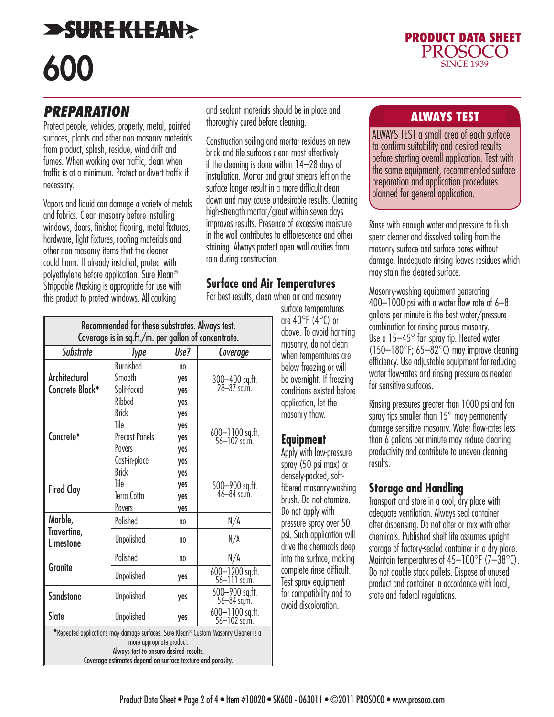# **SURE KLEAN?** 600



### *PREPARATION*

Protect people, vehicles, property, metal, painted surfaces, plants and other non masonry materials from product, splash, residue, wind drift and fumes. When working over traffic, clean when traffic is at a minimum. Protect or divert traffic if necessary.

Vapors and liquid can damage a variety of metals and fabrics. Clean masonry before installing windows, doors, finished flooring, metal fixtures, hardware, light fixtures, roofing materials and other non masonry items that the cleaner could harm. If already installed, protect with polyethylene before application. Sure Klean® Strippable Masking is appropriate for use with this product to protect windows. All caulking

and sealant materials should be in place and<br>the surely says a letter showing thoroughly cured before cleaning.

Construction soiling and mortar residues on new brick and tile surfaces clean most effectively if the cleaning is done within 14–28 days of installation. Mortar and grout smears left on the surface longer result in a more difficult clean down and may cause undesirable results. Cleaning high-strength mortar/grout within seven days improves results. Presence of excessive moisture in the wall contributes to efflorescence and other staining. Always protect open wall cavities from rain during construction.

#### **Surface and Air Temperatures**

For best results, clean when air and masonry

| Recommended for these substrates. Always test.<br>Coverage is in sq.ft./m. per gallon of concentrate.                                                                                                                             |                                                                          |                                     |                                 |
|-----------------------------------------------------------------------------------------------------------------------------------------------------------------------------------------------------------------------------------|--------------------------------------------------------------------------|-------------------------------------|---------------------------------|
| <b>Substrate</b>                                                                                                                                                                                                                  | Type                                                                     | Use?                                | Coverage                        |
| Architectural<br>Concrete Block <sup>+</sup>                                                                                                                                                                                      | <b>Burnished</b><br>Smooth<br>Split-faced<br>Ribbed                      | n <sub>0</sub><br>yes<br>yes<br>yes | 300-400 sq.ft.<br>28-37 sq.m.   |
| Concrete*                                                                                                                                                                                                                         | <b>Brick</b><br>Tile<br><b>Precast Panels</b><br>Pavers<br>Cast-in-place | yes<br>yes<br>yes<br>yes<br>yes     | 600-1100 sq.ft.<br>56-102 sq.m. |
| <b>Fired Clay</b>                                                                                                                                                                                                                 | <b>Brick</b><br>Tile<br>Terra Cotta<br>Pavers                            | yes<br>yes<br>yes<br>yes            | 500-900 sq.ft.<br>46-84 sq.m.   |
| Marble,<br>Travertine,<br>Limestone                                                                                                                                                                                               | Polished                                                                 | n <sub>0</sub>                      | N/A                             |
|                                                                                                                                                                                                                                   | <b>Unpolished</b>                                                        | no                                  | N/A                             |
| Granite                                                                                                                                                                                                                           | Polished                                                                 | n <sub>0</sub>                      | N/A                             |
|                                                                                                                                                                                                                                   | <b>Unpolished</b>                                                        | yes                                 | 600-1200 sq.ft.<br>56-111 sq.m. |
| <b>Sandstone</b>                                                                                                                                                                                                                  | Unpolished                                                               | yes                                 | 600-900 sq.ft.<br>56-84 sq.m.   |
| Slate                                                                                                                                                                                                                             | <b>Unpolished</b>                                                        | yes                                 | 600-1100 sq.ft.<br>56-102 sq.m. |
| $\bullet$ Repeated applications may damage surfaces. Sure Klean® Custom Masonry Cleaner is a<br>more appropriate product.<br>Always test to ensure desired results.<br>Coverage estimates depend on surface texture and porosity. |                                                                          |                                     |                                 |

surface temperatures are  $40^{\circ}$ F ( $4^{\circ}$ C) or above. To avoid harming masonry, do not clean when temperatures are below freezing or will be overnight. If freezing conditions existed before application, let the masonry thaw.

#### **Equipment**

Apply with low-pressure spray (50 psi max) or densely-packed, softfibered masonry-washing brush. Do not atomize. Do not apply with pressure spray over 50 psi. Such application will drive the chemicals deep into the surface, making complete rinse difficult. Test spray equipment for compatibility and to avoid discoloration.

ALWAYS TEST a small area of each surface to confirm suitability and desired results before starting overall application. Test with the same equipment, recommended surface preparation and application procedures planned for general application.

Rinse with enough water and pressure to flush spent cleaner and dissolved soiling from the masonry surface and surface pores without damage. Inadequate rinsing leaves residues which may stain the cleaned surface.

Masonry-washing equipment generating 400–1000 psi with a water flow rate of 6–8 gallons per minute is the best water/pressure combination for rinsing porous masonry. Use a 15–45° fan spray tip. Heated water  $(150-180^{\circ}$ F; 65-82 $^{\circ}$ C) may improve cleaning efficiency. Use adjustable equipment for reducing water flow-rates and rinsing pressure as needed for sensitive surfaces.

Rinsing pressures greater than 1000 psi and fan spray tips smaller than  $15^{\circ}$  may permanently damage sensitive masonry. Water flow-rates less than 6 gallons per minute may reduce cleaning productivity and contribute to uneven cleaning results.

#### **Storage and Handling**

Transport and store in a cool, dry place with adequate ventilation. Always seal container after dispensing. Do not alter or mix with other chemicals. Published shelf life assumes upright storage of factory-sealed container in a dry place. Maintain temperatures of  $45-100^{\circ}$ F (7-38 $^{\circ}$ C). Do not double stack pallets. Dispose of unused product and container in accordance with local, state and federal regulations.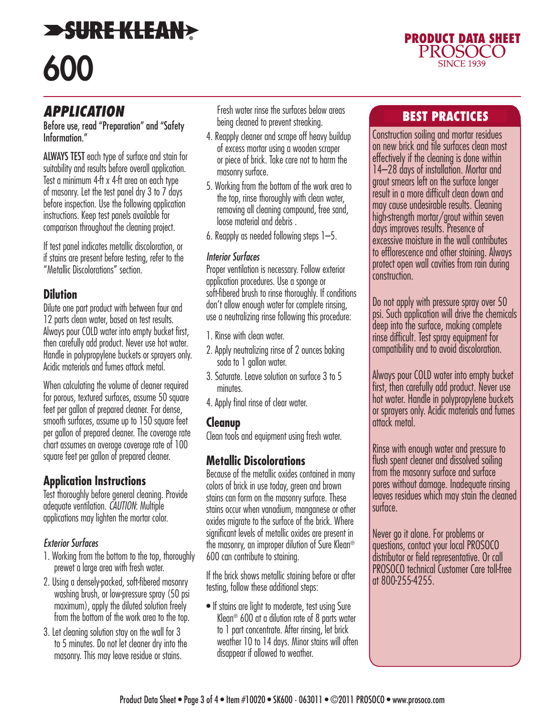# **SURE KLEAN** 600

#### *APPLICATION*

Before use, read "Preparation" and "Safety Information."

ALWAYS TEST each type of surface and stain for suitability and results before overall application. Test a minimum 4-ft x 4-ft area on each type of masonry. Let the test panel dry 3 to 7 days before inspection. Use the following application instructions. Keep test panels available for comparison throughout the cleaning project.

If test panel indicates metallic discoloration, or if stains are present before testing, refer to the "Metallic Discolorations" section.

#### **Dilution**

Dilute one part product with between four and 12 parts clean water, based on test results. Always pour COLD water into empty bucket first, then carefully add product. Never use hot water. Handle in polypropylene buckets or sprayers only. Acidic materials and fumes attack metal.

When calculating the volume of cleaner required for porous, textured surfaces, assume 50 square feet per gallon of prepared cleaner. For dense, smooth surfaces, assume up to 150 square feet per gallon of prepared cleaner. The coverage rate chart assumes an average coverage rate of 100 square feet per gallon of prepared cleaner.

#### **Application Instructions**

Test thoroughly before general cleaning. Provide adequate ventilation. *CAUTION*: Multiple applications may lighten the mortar color.

#### *Exterior Surfaces*

- 1. Working from the bottom to the top, thoroughly prewet a large area with fresh water.
- 2. Using a densely-packed, soft-fibered masonry washing brush, or low-pressure spray (50 psi maximum), apply the diluted solution freely from the bottom of the work area to the top.
- 3. Let cleaning solution stay on the wall for 3 to 5 minutes. Do not let cleaner dry into the masonry. This may leave residue or stains.

Fresh water rinse the surfaces below areas being cleaned to prevent streaking.

- 4. Reapply cleaner and scrape off heavy buildup of excess mortar using a wooden scraper or piece of brick. Take care not to harm the masonry surface.
- 5. Working from the bottom of the work area to the top, rinse thoroughly with clean water, removing all cleaning compound, free sand, loose material and debris .
- 6. Reapply as needed following steps 1–5.

#### *Interior Surfaces*

Proper ventilation is necessary. Follow exterior application procedures. Use a sponge or soft-fibered brush to rinse thoroughly. If conditions don't allow enough water for complete rinsing, use a neutralizing rinse following this procedure:

- 1. Rinse with clean water.
- 2. Apply neutralizing rinse of 2 ounces baking soda to 1 gallon water.
- 3. Saturate. Leave solution on surface 3 to 5 minutes.
- 4. Apply final rinse of clear water.

#### **Cleanup**

Clean tools and equipment using fresh water.

#### **Metallic Discolorations**

Because of the metallic oxides contained in many colors of brick in use today, green and brown stains can form on the masonry surface. These stains occur when vanadium, manganese or other oxides migrate to the surface of the brick. Where significant levels of metallic oxides are present in the masonry, an improper dilution of Sure Klean® 600 can contribute to staining.

If the brick shows metallic staining before or after testing, follow these additional steps:

• If stains are light to moderate, test using Sure Klean® 600 at a dilution rate of 8 parts water to 1 part concentrate. After rinsing, let brick weather 10 to 14 days. Minor stains will often disappear if allowed to weather.

#### BEST PRACTICES

**PRODUCT DATA SHEET<br>PROSOCO** 

**SINCE 1939** 

Construction soiling and mortar residues on new brick and tile surfaces clean most effectively if the cleaning is done within 14–28 days of installation. Mortar and grout smears left on the surface longer result in a more difficult clean down and may cause undesirable results. Cleaning high-strength mortar/grout within seven days improves results. Presence of excessive moisture in the wall contributes to efflorescence and other staining. Always protect open wall cavities from rain during construction.

Do not apply with pressure spray over 50 psi. Such application will drive the chemicals deep into the surface, making complete rinse difficult. Test spray equipment for compatibility and to avoid discoloration.

Always pour COLD water into empty bucket first, then carefully add product. Never use hot water. Handle in polypropylene buckets or sprayers only. Acidic materials and fumes attack metal.

Rinse with enough water and pressure to flush spent cleaner and dissolved soiling from the masonry surface and surface pores without damage. Inadequate rinsing leaves residues which may stain the cleaned surface.

Never go it alone. For problems or questions, contact your local PROSOCO distributor or field representative. Or call PROSOCO technical Customer Care toll-free at 800-255-4255.